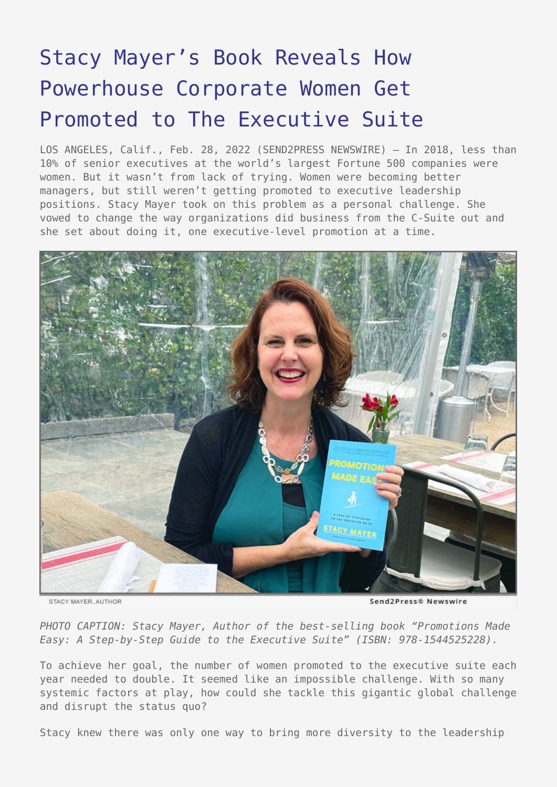# [Stacy Mayer's Book Reveals How](https://www.send2press.com/wire/stacy-mayers-book-reveals-how-powerhouse-corporate-women-get-promoted-to-the-executive-suite/) [Powerhouse Corporate Women Get](https://www.send2press.com/wire/stacy-mayers-book-reveals-how-powerhouse-corporate-women-get-promoted-to-the-executive-suite/) [Promoted to The Executive Suite](https://www.send2press.com/wire/stacy-mayers-book-reveals-how-powerhouse-corporate-women-get-promoted-to-the-executive-suite/)

LOS ANGELES, Calif., Feb. 28, 2022 (SEND2PRESS NEWSWIRE) — In 2018, less than 10% of senior executives at the world's largest Fortune 500 companies were women. But it wasn't from lack of trying. Women were becoming better managers, but still weren't getting promoted to executive leadership positions. Stacy Mayer took on this problem as a personal challenge. She vowed to change the way organizations did business from the C-Suite out and she set about doing it, one executive-level promotion at a time.



STACY MAYER AUTHOR

Send2Press® Newswire

*PHOTO CAPTION: Stacy Mayer, Author of the best-selling book "Promotions Made Easy: A Step-by-Step Guide to the Executive Suite" (ISBN: 978-1544525228).*

To achieve her goal, the number of women promoted to the executive suite each year needed to double. It seemed like an impossible challenge. With so many systemic factors at play, how could she tackle this gigantic global challenge and disrupt the status quo?

Stacy knew there was only one way to bring more diversity to the leadership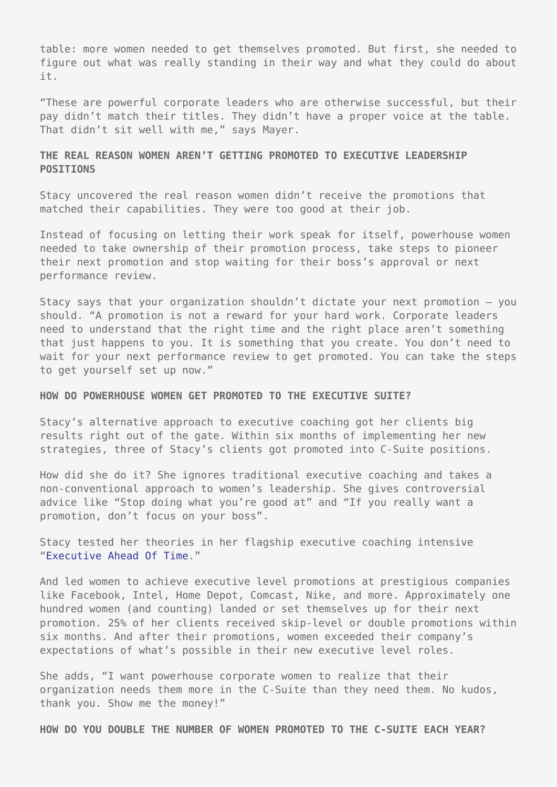table: more women needed to get themselves promoted. But first, she needed to figure out what was really standing in their way and what they could do about it.

"These are powerful corporate leaders who are otherwise successful, but their pay didn't match their titles. They didn't have a proper voice at the table. That didn't sit well with me," says Mayer.

# **THE REAL REASON WOMEN AREN'T GETTING PROMOTED TO EXECUTIVE LEADERSHIP POSITIONS**

Stacy uncovered the real reason women didn't receive the promotions that matched their capabilities. They were too good at their job.

Instead of focusing on letting their work speak for itself, powerhouse women needed to take ownership of their promotion process, take steps to pioneer their next promotion and stop waiting for their boss's approval or next performance review.

Stacy says that your organization shouldn't dictate your next promotion — you should. "A promotion is not a reward for your hard work. Corporate leaders need to understand that the right time and the right place aren't something that just happens to you. It is something that you create. You don't need to wait for your next performance review to get promoted. You can take the steps to get yourself set up now."

#### **HOW DO POWERHOUSE WOMEN GET PROMOTED TO THE EXECUTIVE SUITE?**

Stacy's alternative approach to executive coaching got her clients big results right out of the gate. Within six months of implementing her new strategies, three of Stacy's clients got promoted into C-Suite positions.

How did she do it? She ignores traditional executive coaching and takes a non-conventional approach to women's leadership. She gives controversial advice like "Stop doing what you're good at" and "If you really want a promotion, don't focus on your boss".

Stacy tested her theories in her flagship executive coaching intensive ["Executive Ahead Of Time](https://stacy-mayer-coaching.mykajabi.com/executiveaheadoftime)."

And led women to achieve executive level promotions at prestigious companies like Facebook, Intel, Home Depot, Comcast, Nike, and more. Approximately one hundred women (and counting) landed or set themselves up for their next promotion. 25% of her clients received skip-level or double promotions within six months. And after their promotions, women exceeded their company's expectations of what's possible in their new executive level roles.

She adds, "I want powerhouse corporate women to realize that their organization needs them more in the C-Suite than they need them. No kudos, thank you. Show me the money!"

**HOW DO YOU DOUBLE THE NUMBER OF WOMEN PROMOTED TO THE C-SUITE EACH YEAR?**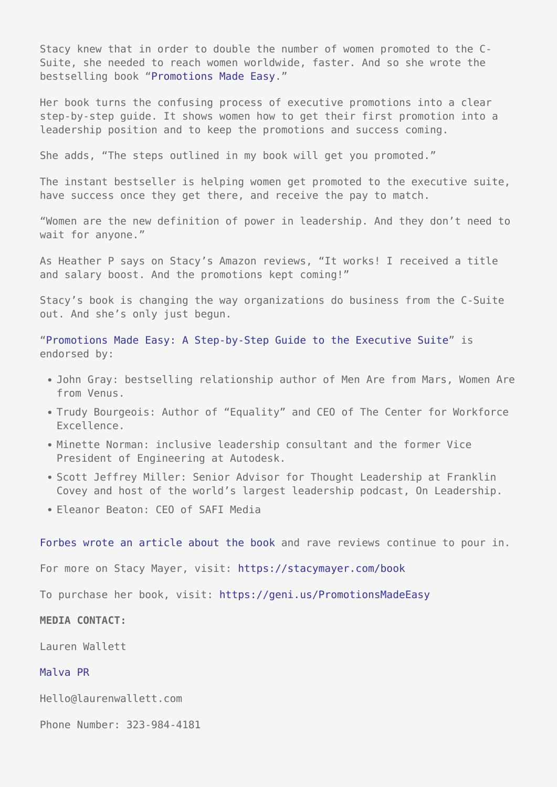Stacy knew that in order to double the number of women promoted to the C-Suite, she needed to reach women worldwide, faster. And so she wrote the bestselling book "[Promotions Made Easy](https://geni.us/PromotionsMadeEasy)."

Her book turns the confusing process of executive promotions into a clear step-by-step guide. It shows women how to get their first promotion into a leadership position and to keep the promotions and success coming.

She adds, "The steps outlined in my book will get you promoted."

The instant bestseller is helping women get promoted to the executive suite, have success once they get there, and receive the pay to match.

"Women are the new definition of power in leadership. And they don't need to wait for anyone."

As Heather P says on Stacy's Amazon reviews, "It works! I received a title and salary boost. And the promotions kept coming!"

Stacy's book is changing the way organizations do business from the C-Suite out. And she's only just begun.

["Promotions Made Easy: A Step-by-Step Guide to the Executive Suite"](https://geni.us/PromotionsMadeEasy/) is endorsed by:

- John Gray: bestselling relationship author of Men Are from Mars, Women Are from Venus.
- Trudy Bourgeois: Author of "Equality" and CEO of The Center for Workforce Excellence.
- Minette Norman: inclusive leadership consultant and the former Vice President of Engineering at Autodesk.
- Scott Jeffrey Miller: Senior Advisor for Thought Leadership at Franklin Covey and host of the world's largest leadership podcast, On Leadership.
- Eleanor Beaton: CEO of SAFI Media

[Forbes wrote an article about the book](https://www.forbes.com/sites/melodywilding/2022/01/18/how-successful-women-get-promoted-to-the-executive-suite/?sh=3e151b216da4) and rave reviews continue to pour in.

For more on Stacy Mayer, visit:<https://stacymayer.com/book>

To purchase her book, visit: <https://geni.us/PromotionsMadeEasy>

## **MEDIA CONTACT:**

Lauren Wallett

### [Malva PR](http://malvapr.com/)

Hello@laurenwallett.com

Phone Number: 323-984-4181